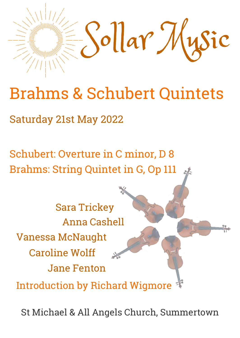

# Brahms & Schubert Quintets

Saturday 21st May 2022

Schubert: Overture in C minor, D 8 Brahms: String Quintet in G, Op 111

Anna Cashell Vanessa McNaught Caroline Wolff Jane Fenton Sara Trickey Introduction by Richard Wigmore

St Michael & All Angels Church, Summertown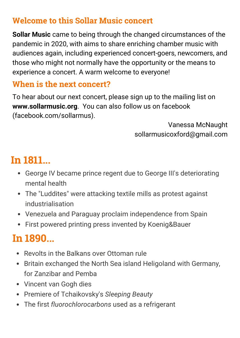# **Welcome to this Sollar Music concert**

**Sollar Music** came to being through the changed circumstances of the pandemic in 2020, with aims to share enriching chamber music with audiences again, including experienced concert-goers, newcomers, and those who might not normally have the opportunity or the means to experience a concert. A warm welcome to everyone!

## **When is the next concert?**

To hear about our next concert, please sign up to the mailing list on **www.sollarmusic.org**.You can also follow us on facebook (facebook.com/sollarmus).

> Vanessa McNaught sollarmusicoxford@gmail.com

# **In 1811...**

- George IV became prince regent due to George III's deteriorating mental health
- The "Luddites" were attacking textile mills as protest against industrialisation
- Venezuela and Paraguay proclaim independence from Spain
- First powered printing press invented by Koenig&Bauer

# **In 1890...**

- Revolts in the Balkans over Ottoman rule
- Britain exchanged the North Sea island Heligoland with Germany, for Zanzibar and Pemba
- Vincent van Gogh dies
- Premiere of Tchaikovsky's *Sleeping Beauty*
- The first *fluorochlorocarbons* used as a refrigerant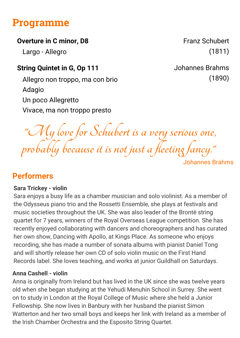# **Programme**

#### **Overture in C minor, D8** Franz Schubert

Largo - Allegro

### **String Quintet in G, Op 111** Johannes Brahms

Allegro non troppo, ma con brio (1890) Adagio Un poco Allegretto Vivace, ma non troppo presto

(1811)

**"My love for Schubert is a very serious one, probably because it is not just a fleeting fancy."** Johannes Brahms

## **Performers**

#### **Sara Trickey - violin**

Sara enjoys a busy life as a chamber musician and solo violinist. As a member of the Odysseus piano trio and the Rossetti Ensemble, she plays at festivals and music societies throughout the UK. She was also leader of the Brontë string quartet for 7 years, winners of the Royal Overseas League competition. She has recently enjoyed collaborating with dancers and choreographers and has curated her own show, Dancing with Apollo, at Kings Place. As someone who enjoys recording, she has made a number of sonata albums with pianist Daniel Tong and will shortly release her own CD of solo violin music on the First Hand Records label. She loves teaching, and works at junior Guildhall on Saturdays.

#### **Anna Cashell - violin**

Anna is originally from Ireland but has lived in the UK since she was twelve years old when she began studying at the Yehudi Menuhin School in Surrey. She went on to study in London at the Royal College of Music where she held a Junior Fellowship. She now lives in Banbury with her husband the pianist Simon Watterton and her two small boys and keeps her link with Ireland as a member of the Irish Chamber Orchestra and the Esposito String Quartet.